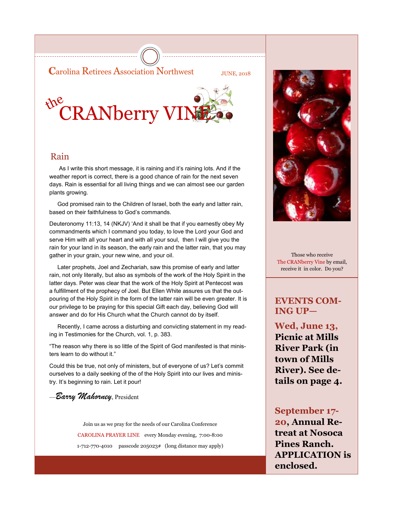**C**arolina Retirees Association Northwest JUNE, 2018

# the **CRANberry VINE**

## Rain

 As I write this short message, it is raining and it's raining lots. And if the weather report is correct, there is a good chance of rain for the next seven days. Rain is essential for all living things and we can almost see our garden plants growing.

 God promised rain to the Children of Israel, both the early and latter rain, based on their faithfulness to God's commands.

Deuteronomy 11:13, 14 (NKJV) 'And it shall be that if you earnestly obey My commandments which I command you today, to love the Lord your God and serve Him with all your heart and with all your soul, then I will give you the rain for your land in its season, the early rain and the latter rain, that you may gather in your grain, your new wine, and your oil.

 Later prophets, Joel and Zechariah, saw this promise of early and latter rain, not only literally, but also as symbols of the work of the Holy Spirit in the latter days. Peter was clear that the work of the Holy Spirit at Pentecost was a fulfillment of the prophecy of Joel. But Ellen White assures us that the outpouring of the Holy Spirit in the form of the latter rain will be even greater. It is our privilege to be praying for this special Gift each day, believing God will answer and do for His Church what the Church cannot do by itself.

 Recently, I came across a disturbing and convicting statement in my reading in Testimonies for the Church, vol. 1, p. 383.

"The reason why there is so little of the Spirit of God manifested is that ministers learn to do without it."

Could this be true, not only of ministers, but of everyone of us? Let's commit ourselves to a daily seeking of the of the Holy Spirit into our lives and ministry. It's beginning to rain. Let it pour!

—*Barry Mahorney*, President

Join us as we pray for the needs of our Carolina Conference CAROLINA PRAYER LINE every Monday evening, 7:00-8:00 1-712-770-4010 passcode 205023# (long distance may apply)



Those who receive The CRANberry Vine by email, receive it in color. Do you?

## **EVENTS COM-ING UP—**

**Wed, June 13, Picnic at Mills River Park (in town of Mills River). See details on page 4.**

**September 17- 20, Annual Retreat at Nosoca Pines Ranch. APPLICATION is enclosed.**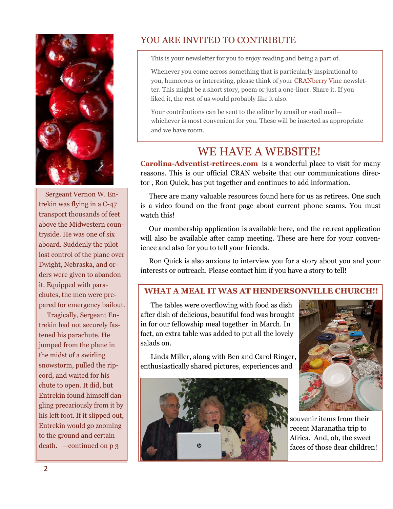

 Sergeant Vernon W. Entrekin was flying in a C-47 transport thousands of feet above the Midwestern countryside. He was one of six aboard. Suddenly the pilot lost control of the plane over Dwight, Nebraska, and orders were given to abandon it. Equipped with parachutes, the men were prepared for emergency bailout.

 Tragically, Sergeant Entrekin had not securely fastened his parachute. He jumped from the plane in the midst of a swirling snowstorm, pulled the ripcord, and waited for his chute to open. It did, but Entrekin found himself dangling precariously from it by his left foot. If it slipped out, Entrekin would go zooming to the ground and certain death. —continued on p 3

## YOU ARE INVITED TO CONTRIBUTE

This is your newsletter for you to enjoy reading and being a part of.

Whenever you come across something that is particularly inspirational to you, humorous or interesting, please think of your CRANberry Vine newsletter. This might be a short story, poem or just a one-liner. Share it. If you liked it, the rest of us would probably like it also.

Your contributions can be sent to the editor by email or snail mail whichever is most convenient for you. These will be inserted as appropriate and we have room.

# WE HAVE A WEBSITE!

**Carolina-Adventist-retirees.com** is a wonderful place to visit for many reasons. This is our official CRAN website that our communications director , Ron Quick, has put together and continues to add information.

 There are many valuable resources found here for us as retirees. One such is a video found on the front page about current phone scams. You must watch this!

 Our membership application is available here, and the retreat application will also be available after camp meeting. These are here for your convenience and also for you to tell your friends.

 Ron Quick is also anxious to interview you for a story about you and your interests or outreach. Please contact him if you have a story to tell!

### **WHAT A MEAL IT WAS AT HENDERSONVILLE CHURCH!!**

 The tables were overflowing with food as dish after dish of delicious, beautiful food was brought in for our fellowship meal together in March. In fact, an extra table was added to put all the lovely salads on.

 Linda Miller, along with Ben and Carol Ringer, enthusiastically shared pictures, experiences and





souvenir items from their recent Maranatha trip to Africa. And, oh, the sweet faces of those dear children!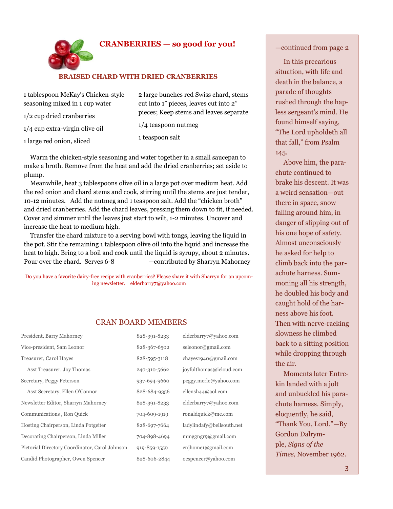### **CRANBERRIES — so good for you!**

#### **BRAISED CHARD WITH DRIED CRANBERRIES**

| 1 tablespoon McKay's Chicken-style | 2 large bunches red Swiss chard, stems |
|------------------------------------|----------------------------------------|
| seasoning mixed in 1 cup water     | cut into 1" pieces, leaves cut into 2" |
| $1/2$ cup dried cranberries        | pieces; Keep stems and leaves separate |
| $1/4$ cup extra-virgin olive oil   | $1/4$ teaspoon nutmeg                  |
| 1 large red onion, sliced          | 1 teaspoon salt                        |

 Warm the chicken-style seasoning and water together in a small saucepan to make a broth. Remove from the heat and add the dried cranberries; set aside to plump.

 Meanwhile, heat 3 tablespoons olive oil in a large pot over medium heat. Add the red onion and chard stems and cook, stirring until the stems are just tender, 10-12 minutes. Add the nutmeg and 1 teaspoon salt. Add the "chicken broth" and dried cranberries. Add the chard leaves, pressing them down to fit, if needed. Cover and simmer until the leaves just start to wilt, 1-2 minutes. Uncover and increase the heat to medium high.

 Transfer the chard mixture to a serving bowl with tongs, leaving the liquid in the pot. Stir the remaining 1 tablespoon olive oil into the liquid and increase the heat to high. Bring to a boil and cook until the liquid is syrupy, about 2 minutes. Pour over the chard. Serves 6-8 — contributed by Sharryn Mahorney

Do you have a favorite dairy-free recipe with cranberries? Please share it with Sharryn for an upcoming newsletter. elderbarry7@yahoo.com

#### CRAN BOARD MEMBERS

| President, Barry Mahorney                      | 828-391-8233 | elderbarry7@yahoo.com     |
|------------------------------------------------|--------------|---------------------------|
| Vice-president, Sam Leonor                     | 828-367-6502 | seleonor@gmail.com        |
| Treasurer, Carol Hayes                         | 828-595-3118 | chayes1940@gmail.com      |
| Asst Treasurer, Joy Thomas                     | 240-310-5662 | joyfulthomas@icloud.com   |
| Secretary, Peggy Peterson                      | 937-694-9660 | peggy.merle@yahoo.com     |
| Asst Secretary, Ellen O'Connor                 | 828-684-9356 | ellensh $44@$ aol.com     |
| Newsletter Editor, Sharryn Mahorney            | 828-391-8233 | elderbarry7@yahoo.com     |
| Communications, Ron Quick                      | 704-609-1919 | ronaldquick@me.com        |
| Hosting Chairperson, Linda Potgeiter           | 828-697-7664 | ladylindafy@bellsouth.net |
| Decorating Chairperson, Linda Miller           | 704-898-4694 | mmggngrg@gmail.com        |
| Pictorial Directory Coordinator, Carol Johnson | 919-859-1550 | cnihome1@gmail.com        |
| Candid Photographer, Owen Spencer              | 828-606-2844 | oespencer@yahoo.com       |

#### —continued from page 2

 In this precarious situation, with life and death in the balance, a parade of thoughts rushed through the hapless sergeant's mind. He found himself saying, "The Lord upholdeth all that fall," from Psalm 145.

 Above him, the parachute continued to brake his descent. It was a weird sensation—out there in space, snow falling around him, in danger of slipping out of his one hope of safety. Almost unconsciously he asked for help to climb back into the parachute harness. Summoning all his strength, he doubled his body and caught hold of the harness above his foot. Then with nerve-racking slowness he climbed back to a sitting position while dropping through the air.

 Moments later Entrekin landed with a jolt and unbuckled his parachute harness. Simply, eloquently, he said, "Thank You, Lord."—By Gordon Dalrymple, *Signs of the Times,* November 1962.